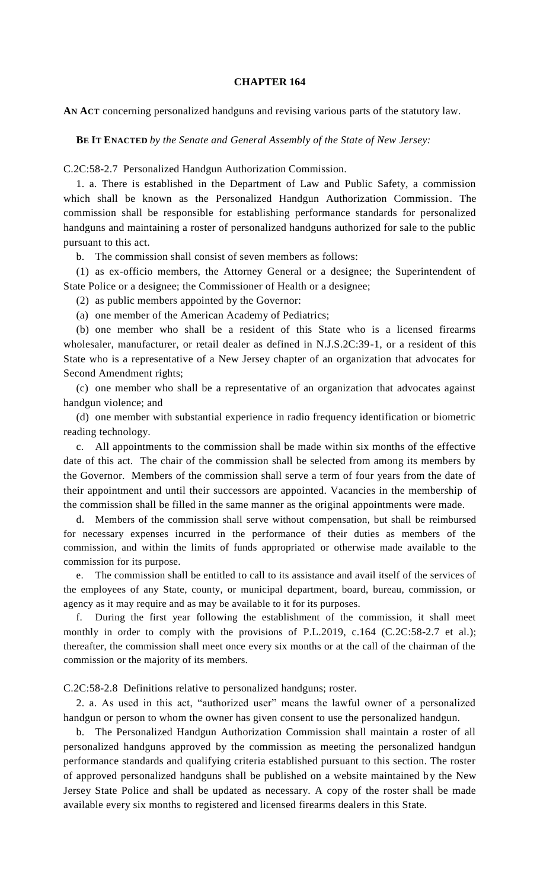## **CHAPTER 164**

**AN ACT** concerning personalized handguns and revising various parts of the statutory law.

**BE IT ENACTED** *by the Senate and General Assembly of the State of New Jersey:*

C.2C:58-2.7 Personalized Handgun Authorization Commission.

1. a. There is established in the Department of Law and Public Safety, a commission which shall be known as the Personalized Handgun Authorization Commission. The commission shall be responsible for establishing performance standards for personalized handguns and maintaining a roster of personalized handguns authorized for sale to the public pursuant to this act.

b. The commission shall consist of seven members as follows:

(1) as ex-officio members, the Attorney General or a designee; the Superintendent of State Police or a designee; the Commissioner of Health or a designee;

(2) as public members appointed by the Governor:

(a) one member of the American Academy of Pediatrics;

(b) one member who shall be a resident of this State who is a licensed firearms wholesaler, manufacturer, or retail dealer as defined in N.J.S.2C:39-1, or a resident of this State who is a representative of a New Jersey chapter of an organization that advocates for Second Amendment rights;

(c) one member who shall be a representative of an organization that advocates against handgun violence; and

(d) one member with substantial experience in radio frequency identification or biometric reading technology.

All appointments to the commission shall be made within six months of the effective date of this act. The chair of the commission shall be selected from among its members by the Governor. Members of the commission shall serve a term of four years from the date of their appointment and until their successors are appointed. Vacancies in the membership of the commission shall be filled in the same manner as the original appointments were made.

d. Members of the commission shall serve without compensation, but shall be reimbursed for necessary expenses incurred in the performance of their duties as members of the commission, and within the limits of funds appropriated or otherwise made available to the commission for its purpose.

e. The commission shall be entitled to call to its assistance and avail itself of the services of the employees of any State, county, or municipal department, board, bureau, commission, or agency as it may require and as may be available to it for its purposes.

f. During the first year following the establishment of the commission, it shall meet monthly in order to comply with the provisions of P.L.2019, c.164 (C.2C:58-2.7 et al.); thereafter, the commission shall meet once every six months or at the call of the chairman of the commission or the majority of its members.

C.2C:58-2.8 Definitions relative to personalized handguns; roster.

2. a. As used in this act, "authorized user" means the lawful owner of a personalized handgun or person to whom the owner has given consent to use the personalized handgun.

b. The Personalized Handgun Authorization Commission shall maintain a roster of all personalized handguns approved by the commission as meeting the personalized handgun performance standards and qualifying criteria established pursuant to this section. The roster of approved personalized handguns shall be published on a website maintained by the New Jersey State Police and shall be updated as necessary. A copy of the roster shall be made available every six months to registered and licensed firearms dealers in this State.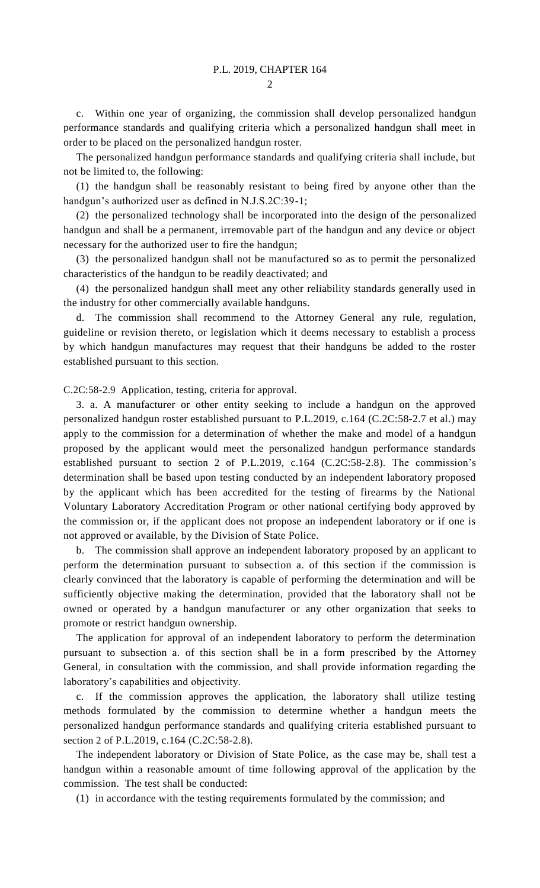$\mathcal{D}_{\mathcal{L}}$ 

c. Within one year of organizing, the commission shall develop personalized handgun performance standards and qualifying criteria which a personalized handgun shall meet in order to be placed on the personalized handgun roster.

The personalized handgun performance standards and qualifying criteria shall include, but not be limited to, the following:

(1) the handgun shall be reasonably resistant to being fired by anyone other than the handgun's authorized user as defined in N.J.S.2C:39-1;

(2) the personalized technology shall be incorporated into the design of the personalized handgun and shall be a permanent, irremovable part of the handgun and any device or object necessary for the authorized user to fire the handgun;

(3) the personalized handgun shall not be manufactured so as to permit the personalized characteristics of the handgun to be readily deactivated; and

(4) the personalized handgun shall meet any other reliability standards generally used in the industry for other commercially available handguns.

d. The commission shall recommend to the Attorney General any rule, regulation, guideline or revision thereto, or legislation which it deems necessary to establish a process by which handgun manufactures may request that their handguns be added to the roster established pursuant to this section.

C.2C:58-2.9 Application, testing, criteria for approval.

3. a. A manufacturer or other entity seeking to include a handgun on the approved personalized handgun roster established pursuant to P.L.2019, c.164 (C.2C:58-2.7 et al.) may apply to the commission for a determination of whether the make and model of a handgun proposed by the applicant would meet the personalized handgun performance standards established pursuant to section 2 of P.L.2019, c.164 (C.2C:58-2.8). The commission's determination shall be based upon testing conducted by an independent laboratory proposed by the applicant which has been accredited for the testing of firearms by the National Voluntary Laboratory Accreditation Program or other national certifying body approved by the commission or, if the applicant does not propose an independent laboratory or if one is not approved or available, by the Division of State Police.

b. The commission shall approve an independent laboratory proposed by an applicant to perform the determination pursuant to subsection a. of this section if the commission is clearly convinced that the laboratory is capable of performing the determination and will be sufficiently objective making the determination, provided that the laboratory shall not be owned or operated by a handgun manufacturer or any other organization that seeks to promote or restrict handgun ownership.

The application for approval of an independent laboratory to perform the determination pursuant to subsection a. of this section shall be in a form prescribed by the Attorney General, in consultation with the commission, and shall provide information regarding the laboratory's capabilities and objectivity.

c. If the commission approves the application, the laboratory shall utilize testing methods formulated by the commission to determine whether a handgun meets the personalized handgun performance standards and qualifying criteria established pursuant to section 2 of P.L.2019, c.164 (C.2C:58-2.8).

The independent laboratory or Division of State Police, as the case may be, shall test a handgun within a reasonable amount of time following approval of the application by the commission. The test shall be conducted:

(1) in accordance with the testing requirements formulated by the commission; and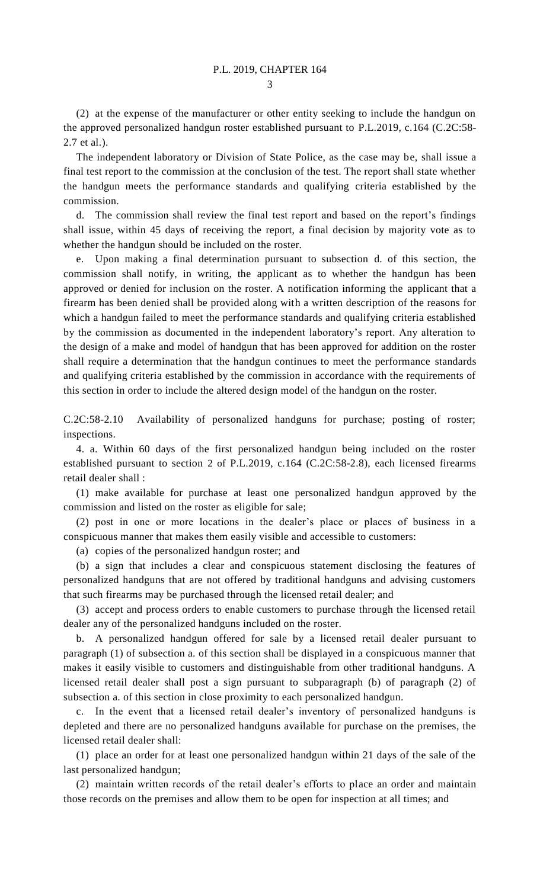(2) at the expense of the manufacturer or other entity seeking to include the handgun on the approved personalized handgun roster established pursuant to P.L.2019, c.164 (C.2C:58- 2.7 et al.).

The independent laboratory or Division of State Police, as the case may be, shall issue a final test report to the commission at the conclusion of the test. The report shall state whether the handgun meets the performance standards and qualifying criteria established by the commission.

d. The commission shall review the final test report and based on the report's findings shall issue, within 45 days of receiving the report, a final decision by majority vote as to whether the handgun should be included on the roster.

e. Upon making a final determination pursuant to subsection d. of this section, the commission shall notify, in writing, the applicant as to whether the handgun has been approved or denied for inclusion on the roster. A notification informing the applicant that a firearm has been denied shall be provided along with a written description of the reasons for which a handgun failed to meet the performance standards and qualifying criteria established by the commission as documented in the independent laboratory's report. Any alteration to the design of a make and model of handgun that has been approved for addition on the roster shall require a determination that the handgun continues to meet the performance standards and qualifying criteria established by the commission in accordance with the requirements of this section in order to include the altered design model of the handgun on the roster.

C.2C:58-2.10 Availability of personalized handguns for purchase; posting of roster; inspections.

4. a. Within 60 days of the first personalized handgun being included on the roster established pursuant to section 2 of P.L.2019, c.164 (C.2C:58-2.8), each licensed firearms retail dealer shall :

(1) make available for purchase at least one personalized handgun approved by the commission and listed on the roster as eligible for sale;

(2) post in one or more locations in the dealer's place or places of business in a conspicuous manner that makes them easily visible and accessible to customers:

(a) copies of the personalized handgun roster; and

(b) a sign that includes a clear and conspicuous statement disclosing the features of personalized handguns that are not offered by traditional handguns and advising customers that such firearms may be purchased through the licensed retail dealer; and

(3) accept and process orders to enable customers to purchase through the licensed retail dealer any of the personalized handguns included on the roster.

b. A personalized handgun offered for sale by a licensed retail dealer pursuant to paragraph (1) of subsection a. of this section shall be displayed in a conspicuous manner that makes it easily visible to customers and distinguishable from other traditional handguns. A licensed retail dealer shall post a sign pursuant to subparagraph (b) of paragraph (2) of subsection a. of this section in close proximity to each personalized handgun.

c. In the event that a licensed retail dealer's inventory of personalized handguns is depleted and there are no personalized handguns available for purchase on the premises, the licensed retail dealer shall:

(1) place an order for at least one personalized handgun within 21 days of the sale of the last personalized handgun;

(2) maintain written records of the retail dealer's efforts to place an order and maintain those records on the premises and allow them to be open for inspection at all times; and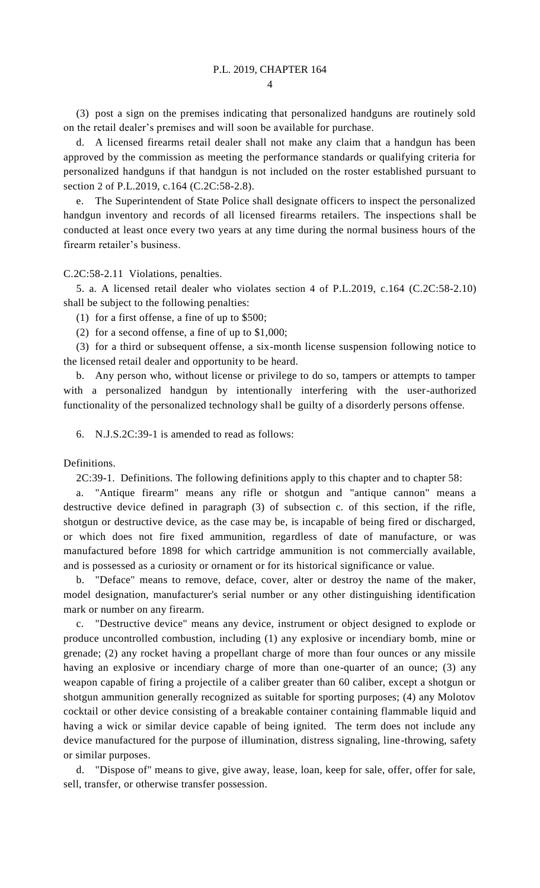(3) post a sign on the premises indicating that personalized handguns are routinely sold on the retail dealer's premises and will soon be available for purchase.

d. A licensed firearms retail dealer shall not make any claim that a handgun has been approved by the commission as meeting the performance standards or qualifying criteria for personalized handguns if that handgun is not included on the roster established pursuant to section 2 of P.L.2019, c.164 (C.2C:58-2.8).

e. The Superintendent of State Police shall designate officers to inspect the personalized handgun inventory and records of all licensed firearms retailers. The inspections shall be conducted at least once every two years at any time during the normal business hours of the firearm retailer's business.

C.2C:58-2.11 Violations, penalties.

5. a. A licensed retail dealer who violates section 4 of P.L.2019, c.164 (C.2C:58-2.10) shall be subject to the following penalties:

(1) for a first offense, a fine of up to \$500;

(2) for a second offense, a fine of up to \$1,000;

(3) for a third or subsequent offense, a six-month license suspension following notice to the licensed retail dealer and opportunity to be heard.

b. Any person who, without license or privilege to do so, tampers or attempts to tamper with a personalized handgun by intentionally interfering with the user-authorized functionality of the personalized technology shall be guilty of a disorderly persons offense.

6. N.J.S.2C:39-1 is amended to read as follows:

Definitions.

2C:39-1. Definitions. The following definitions apply to this chapter and to chapter 58:

a. "Antique firearm" means any rifle or shotgun and "antique cannon" means a destructive device defined in paragraph (3) of subsection c. of this section, if the rifle, shotgun or destructive device, as the case may be, is incapable of being fired or discharged, or which does not fire fixed ammunition, regardless of date of manufacture, or was manufactured before 1898 for which cartridge ammunition is not commercially available, and is possessed as a curiosity or ornament or for its historical significance or value.

b. "Deface" means to remove, deface, cover, alter or destroy the name of the maker, model designation, manufacturer's serial number or any other distinguishing identification mark or number on any firearm.

c. "Destructive device" means any device, instrument or object designed to explode or produce uncontrolled combustion, including (1) any explosive or incendiary bomb, mine or grenade; (2) any rocket having a propellant charge of more than four ounces or any missile having an explosive or incendiary charge of more than one-quarter of an ounce; (3) any weapon capable of firing a projectile of a caliber greater than 60 caliber, except a shotgun or shotgun ammunition generally recognized as suitable for sporting purposes; (4) any Molotov cocktail or other device consisting of a breakable container containing flammable liquid and having a wick or similar device capable of being ignited. The term does not include any device manufactured for the purpose of illumination, distress signaling, line-throwing, safety or similar purposes.

d. "Dispose of" means to give, give away, lease, loan, keep for sale, offer, offer for sale, sell, transfer, or otherwise transfer possession.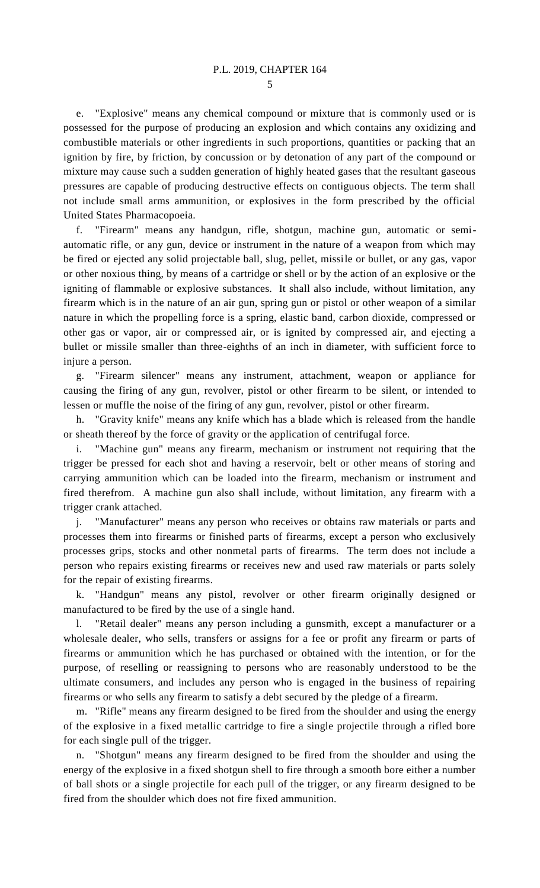e. "Explosive" means any chemical compound or mixture that is commonly used or is possessed for the purpose of producing an explosion and which contains any oxidizing and combustible materials or other ingredients in such proportions, quantities or packing that an ignition by fire, by friction, by concussion or by detonation of any part of the compound or mixture may cause such a sudden generation of highly heated gases that the resultant gaseous pressures are capable of producing destructive effects on contiguous objects. The term shall not include small arms ammunition, or explosives in the form prescribed by the official United States Pharmacopoeia.

f. "Firearm" means any handgun, rifle, shotgun, machine gun, automatic or semiautomatic rifle, or any gun, device or instrument in the nature of a weapon from which may be fired or ejected any solid projectable ball, slug, pellet, missile or bullet, or any gas, vapor or other noxious thing, by means of a cartridge or shell or by the action of an explosive or the igniting of flammable or explosive substances. It shall also include, without limitation, any firearm which is in the nature of an air gun, spring gun or pistol or other weapon of a similar nature in which the propelling force is a spring, elastic band, carbon dioxide, compressed or other gas or vapor, air or compressed air, or is ignited by compressed air, and ejecting a bullet or missile smaller than three-eighths of an inch in diameter, with sufficient force to injure a person.

g. "Firearm silencer" means any instrument, attachment, weapon or appliance for causing the firing of any gun, revolver, pistol or other firearm to be silent, or intended to lessen or muffle the noise of the firing of any gun, revolver, pistol or other firearm.

h. "Gravity knife" means any knife which has a blade which is released from the handle or sheath thereof by the force of gravity or the application of centrifugal force.

i. "Machine gun" means any firearm, mechanism or instrument not requiring that the trigger be pressed for each shot and having a reservoir, belt or other means of storing and carrying ammunition which can be loaded into the firearm, mechanism or instrument and fired therefrom. A machine gun also shall include, without limitation, any firearm with a trigger crank attached.

j. "Manufacturer" means any person who receives or obtains raw materials or parts and processes them into firearms or finished parts of firearms, except a person who exclusively processes grips, stocks and other nonmetal parts of firearms. The term does not include a person who repairs existing firearms or receives new and used raw materials or parts solely for the repair of existing firearms.

k. "Handgun" means any pistol, revolver or other firearm originally designed or manufactured to be fired by the use of a single hand.

l. "Retail dealer" means any person including a gunsmith, except a manufacturer or a wholesale dealer, who sells, transfers or assigns for a fee or profit any firearm or parts of firearms or ammunition which he has purchased or obtained with the intention, or for the purpose, of reselling or reassigning to persons who are reasonably understood to be the ultimate consumers, and includes any person who is engaged in the business of repairing firearms or who sells any firearm to satisfy a debt secured by the pledge of a firearm.

m. "Rifle" means any firearm designed to be fired from the shoulder and using the energy of the explosive in a fixed metallic cartridge to fire a single projectile through a rifled bore for each single pull of the trigger.

n. "Shotgun" means any firearm designed to be fired from the shoulder and using the energy of the explosive in a fixed shotgun shell to fire through a smooth bore either a number of ball shots or a single projectile for each pull of the trigger, or any firearm designed to be fired from the shoulder which does not fire fixed ammunition.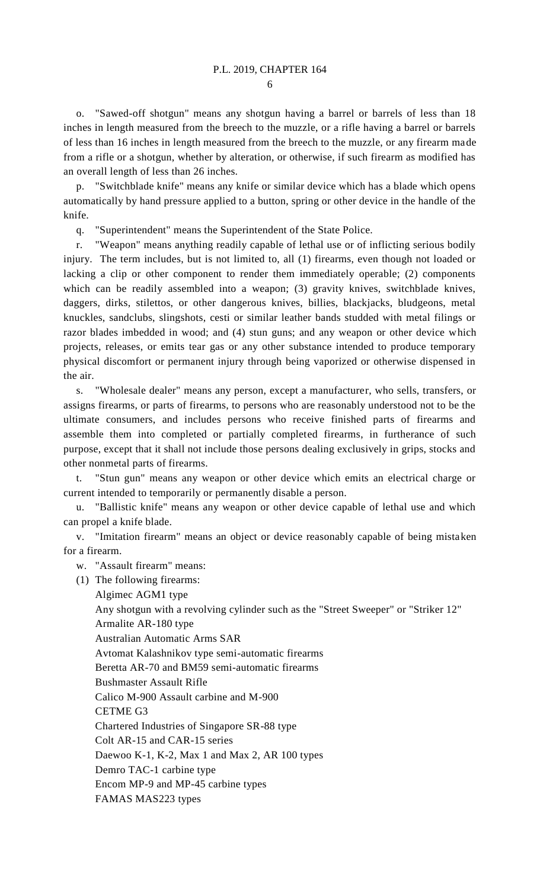o. "Sawed-off shotgun" means any shotgun having a barrel or barrels of less than 18 inches in length measured from the breech to the muzzle, or a rifle having a barrel or barrels of less than 16 inches in length measured from the breech to the muzzle, or any firearm made from a rifle or a shotgun, whether by alteration, or otherwise, if such firearm as modified has an overall length of less than 26 inches.

p. "Switchblade knife" means any knife or similar device which has a blade which opens automatically by hand pressure applied to a button, spring or other device in the handle of the knife.

q. "Superintendent" means the Superintendent of the State Police.

r. "Weapon" means anything readily capable of lethal use or of inflicting serious bodily injury. The term includes, but is not limited to, all (1) firearms, even though not loaded or lacking a clip or other component to render them immediately operable; (2) components which can be readily assembled into a weapon; (3) gravity knives, switchblade knives, daggers, dirks, stilettos, or other dangerous knives, billies, blackjacks, bludgeons, metal knuckles, sandclubs, slingshots, cesti or similar leather bands studded with metal filings or razor blades imbedded in wood; and (4) stun guns; and any weapon or other device which projects, releases, or emits tear gas or any other substance intended to produce temporary physical discomfort or permanent injury through being vaporized or otherwise dispensed in the air.

s. "Wholesale dealer" means any person, except a manufacturer, who sells, transfers, or assigns firearms, or parts of firearms, to persons who are reasonably understood not to be the ultimate consumers, and includes persons who receive finished parts of firearms and assemble them into completed or partially completed firearms, in furtherance of such purpose, except that it shall not include those persons dealing exclusively in grips, stocks and other nonmetal parts of firearms.

t. "Stun gun" means any weapon or other device which emits an electrical charge or current intended to temporarily or permanently disable a person.

u. "Ballistic knife" means any weapon or other device capable of lethal use and which can propel a knife blade.

v. "Imitation firearm" means an object or device reasonably capable of being mistaken for a firearm.

w. "Assault firearm" means:

(1) The following firearms:

Algimec AGM1 type

Any shotgun with a revolving cylinder such as the "Street Sweeper" or "Striker 12" Armalite AR-180 type

Australian Automatic Arms SAR

Avtomat Kalashnikov type semi-automatic firearms

Beretta AR-70 and BM59 semi-automatic firearms

Bushmaster Assault Rifle

Calico M-900 Assault carbine and M-900

CETME G3

Chartered Industries of Singapore SR-88 type

Colt AR-15 and CAR-15 series

Daewoo K-1, K-2, Max 1 and Max 2, AR 100 types

Demro TAC-1 carbine type

Encom MP-9 and MP-45 carbine types

FAMAS MAS223 types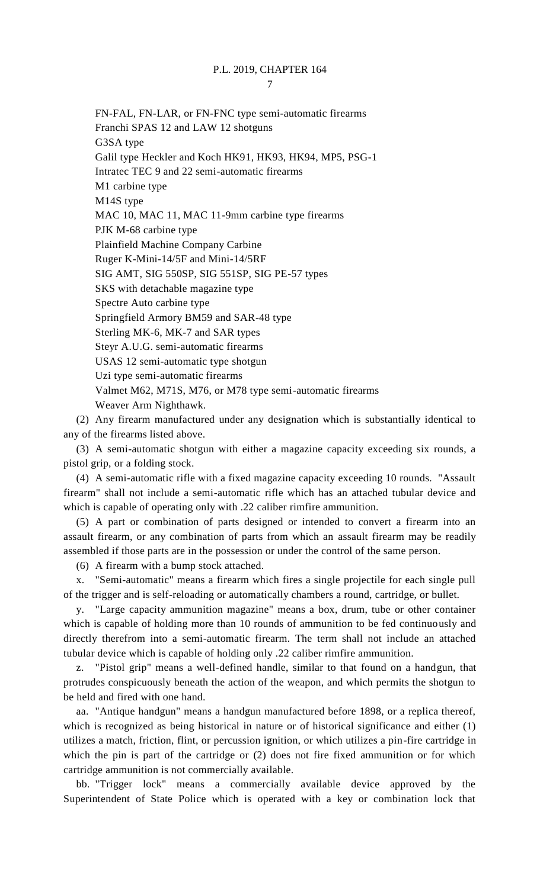## P.L. 2019, CHAPTER 164

FN-FAL, FN-LAR, or FN-FNC type semi-automatic firearms Franchi SPAS 12 and LAW 12 shotguns G3SA type Galil type Heckler and Koch HK91, HK93, HK94, MP5, PSG-1 Intratec TEC 9 and 22 semi-automatic firearms M1 carbine type M14S type MAC 10, MAC 11, MAC 11-9mm carbine type firearms PJK M-68 carbine type Plainfield Machine Company Carbine Ruger K-Mini-14/5F and Mini-14/5RF SIG AMT, SIG 550SP, SIG 551SP, SIG PE-57 types SKS with detachable magazine type Spectre Auto carbine type Springfield Armory BM59 and SAR-48 type Sterling MK-6, MK-7 and SAR types Steyr A.U.G. semi-automatic firearms USAS 12 semi-automatic type shotgun Uzi type semi-automatic firearms Valmet M62, M71S, M76, or M78 type semi-automatic firearms Weaver Arm Nighthawk.

(2) Any firearm manufactured under any designation which is substantially identical to any of the firearms listed above.

(3) A semi-automatic shotgun with either a magazine capacity exceeding six rounds, a pistol grip, or a folding stock.

(4) A semi-automatic rifle with a fixed magazine capacity exceeding 10 rounds. "Assault firearm" shall not include a semi-automatic rifle which has an attached tubular device and which is capable of operating only with .22 caliber rimfire ammunition.

(5) A part or combination of parts designed or intended to convert a firearm into an assault firearm, or any combination of parts from which an assault firearm may be readily assembled if those parts are in the possession or under the control of the same person.

(6) A firearm with a bump stock attached.

x. "Semi-automatic" means a firearm which fires a single projectile for each single pull of the trigger and is self-reloading or automatically chambers a round, cartridge, or bullet.

y. "Large capacity ammunition magazine" means a box, drum, tube or other container which is capable of holding more than 10 rounds of ammunition to be fed continuously and directly therefrom into a semi-automatic firearm. The term shall not include an attached tubular device which is capable of holding only .22 caliber rimfire ammunition.

z. "Pistol grip" means a well-defined handle, similar to that found on a handgun, that protrudes conspicuously beneath the action of the weapon, and which permits the shotgun to be held and fired with one hand.

aa. "Antique handgun" means a handgun manufactured before 1898, or a replica thereof, which is recognized as being historical in nature or of historical significance and either (1) utilizes a match, friction, flint, or percussion ignition, or which utilizes a pin-fire cartridge in which the pin is part of the cartridge or (2) does not fire fixed ammunition or for which cartridge ammunition is not commercially available.

bb. "Trigger lock" means a commercially available device approved by the Superintendent of State Police which is operated with a key or combination lock that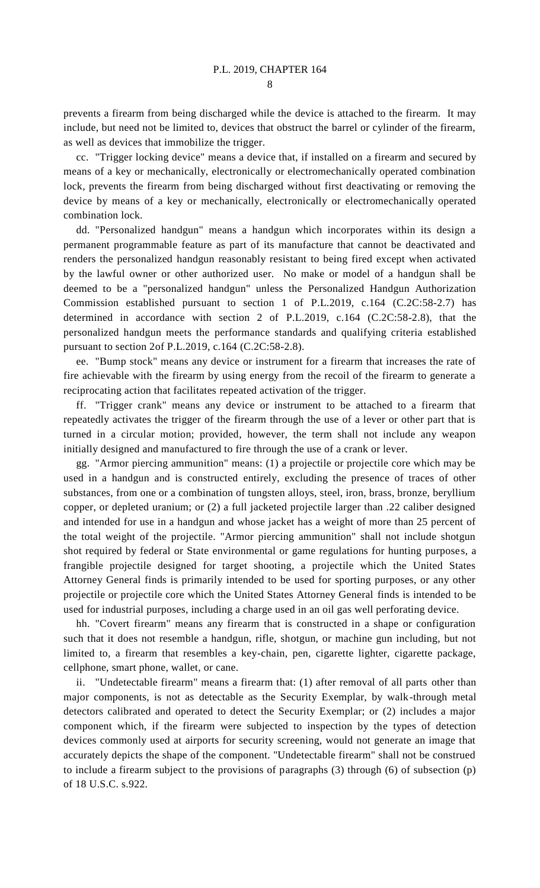prevents a firearm from being discharged while the device is attached to the firearm. It may include, but need not be limited to, devices that obstruct the barrel or cylinder of the firearm, as well as devices that immobilize the trigger.

cc. "Trigger locking device" means a device that, if installed on a firearm and secured by means of a key or mechanically, electronically or electromechanically operated combination lock, prevents the firearm from being discharged without first deactivating or removing the device by means of a key or mechanically, electronically or electromechanically operated combination lock.

dd. "Personalized handgun" means a handgun which incorporates within its design a permanent programmable feature as part of its manufacture that cannot be deactivated and renders the personalized handgun reasonably resistant to being fired except when activated by the lawful owner or other authorized user. No make or model of a handgun shall be deemed to be a "personalized handgun" unless the Personalized Handgun Authorization Commission established pursuant to section 1 of P.L.2019, c.164 (C.2C:58-2.7) has determined in accordance with section 2 of P.L.2019, c.164 (C.2C:58-2.8), that the personalized handgun meets the performance standards and qualifying criteria established pursuant to section 2of P.L.2019, c.164 (C.2C:58-2.8).

ee. "Bump stock" means any device or instrument for a firearm that increases the rate of fire achievable with the firearm by using energy from the recoil of the firearm to generate a reciprocating action that facilitates repeated activation of the trigger.

ff. "Trigger crank" means any device or instrument to be attached to a firearm that repeatedly activates the trigger of the firearm through the use of a lever or other part that is turned in a circular motion; provided, however, the term shall not include any weapon initially designed and manufactured to fire through the use of a crank or lever.

gg. "Armor piercing ammunition" means: (1) a projectile or projectile core which may be used in a handgun and is constructed entirely, excluding the presence of traces of other substances, from one or a combination of tungsten alloys, steel, iron, brass, bronze, beryllium copper, or depleted uranium; or (2) a full jacketed projectile larger than .22 caliber designed and intended for use in a handgun and whose jacket has a weight of more than 25 percent of the total weight of the projectile. "Armor piercing ammunition" shall not include shotgun shot required by federal or State environmental or game regulations for hunting purposes, a frangible projectile designed for target shooting, a projectile which the United States Attorney General finds is primarily intended to be used for sporting purposes, or any other projectile or projectile core which the United States Attorney General finds is intended to be used for industrial purposes, including a charge used in an oil gas well perforating device.

hh. "Covert firearm" means any firearm that is constructed in a shape or configuration such that it does not resemble a handgun, rifle, shotgun, or machine gun including, but not limited to, a firearm that resembles a key-chain, pen, cigarette lighter, cigarette package, cellphone, smart phone, wallet, or cane.

ii. "Undetectable firearm" means a firearm that: (1) after removal of all parts other than major components, is not as detectable as the Security Exemplar, by walk-through metal detectors calibrated and operated to detect the Security Exemplar; or (2) includes a major component which, if the firearm were subjected to inspection by the types of detection devices commonly used at airports for security screening, would not generate an image that accurately depicts the shape of the component. "Undetectable firearm" shall not be construed to include a firearm subject to the provisions of paragraphs (3) through (6) of subsection (p) of 18 U.S.C. s.922.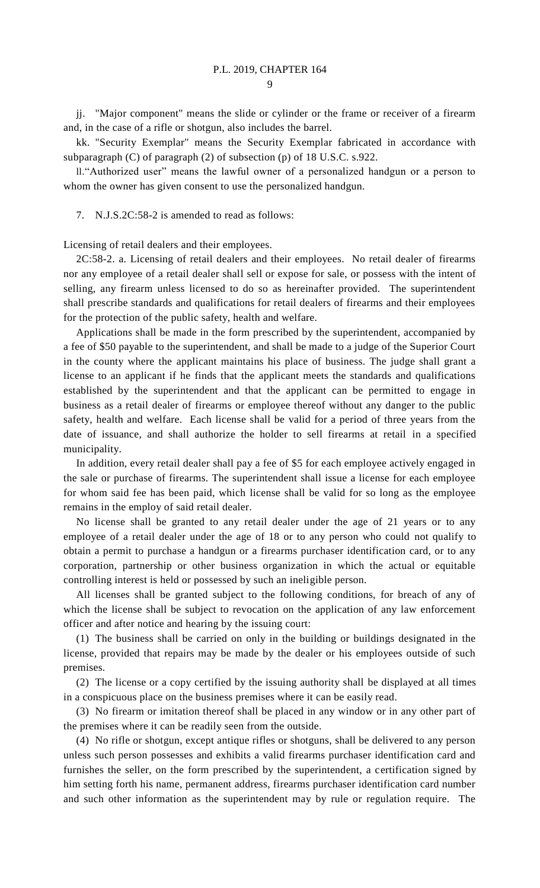jj. "Major component" means the slide or cylinder or the frame or receiver of a firearm and, in the case of a rifle or shotgun, also includes the barrel.

kk. "Security Exemplar" means the Security Exemplar fabricated in accordance with subparagraph (C) of paragraph (2) of subsection (p) of 18 U.S.C. s.922.

ll."Authorized user" means the lawful owner of a personalized handgun or a person to whom the owner has given consent to use the personalized handgun.

7. N.J.S.2C:58-2 is amended to read as follows:

Licensing of retail dealers and their employees.

2C:58-2. a. Licensing of retail dealers and their employees. No retail dealer of firearms nor any employee of a retail dealer shall sell or expose for sale, or possess with the intent of selling, any firearm unless licensed to do so as hereinafter provided. The superintendent shall prescribe standards and qualifications for retail dealers of firearms and their employees for the protection of the public safety, health and welfare.

Applications shall be made in the form prescribed by the superintendent, accompanied by a fee of \$50 payable to the superintendent, and shall be made to a judge of the Superior Court in the county where the applicant maintains his place of business. The judge shall grant a license to an applicant if he finds that the applicant meets the standards and qualifications established by the superintendent and that the applicant can be permitted to engage in business as a retail dealer of firearms or employee thereof without any danger to the public safety, health and welfare. Each license shall be valid for a period of three years from the date of issuance, and shall authorize the holder to sell firearms at retail in a specified municipality.

In addition, every retail dealer shall pay a fee of \$5 for each employee actively engaged in the sale or purchase of firearms. The superintendent shall issue a license for each employee for whom said fee has been paid, which license shall be valid for so long as the employee remains in the employ of said retail dealer.

No license shall be granted to any retail dealer under the age of 21 years or to any employee of a retail dealer under the age of 18 or to any person who could not qualify to obtain a permit to purchase a handgun or a firearms purchaser identification card, or to any corporation, partnership or other business organization in which the actual or equitable controlling interest is held or possessed by such an ineligible person.

All licenses shall be granted subject to the following conditions, for breach of any of which the license shall be subject to revocation on the application of any law enforcement officer and after notice and hearing by the issuing court:

(1) The business shall be carried on only in the building or buildings designated in the license, provided that repairs may be made by the dealer or his employees outside of such premises.

(2) The license or a copy certified by the issuing authority shall be displayed at all times in a conspicuous place on the business premises where it can be easily read.

(3) No firearm or imitation thereof shall be placed in any window or in any other part of the premises where it can be readily seen from the outside.

(4) No rifle or shotgun, except antique rifles or shotguns, shall be delivered to any person unless such person possesses and exhibits a valid firearms purchaser identification card and furnishes the seller, on the form prescribed by the superintendent, a certification signed by him setting forth his name, permanent address, firearms purchaser identification card number and such other information as the superintendent may by rule or regulation require. The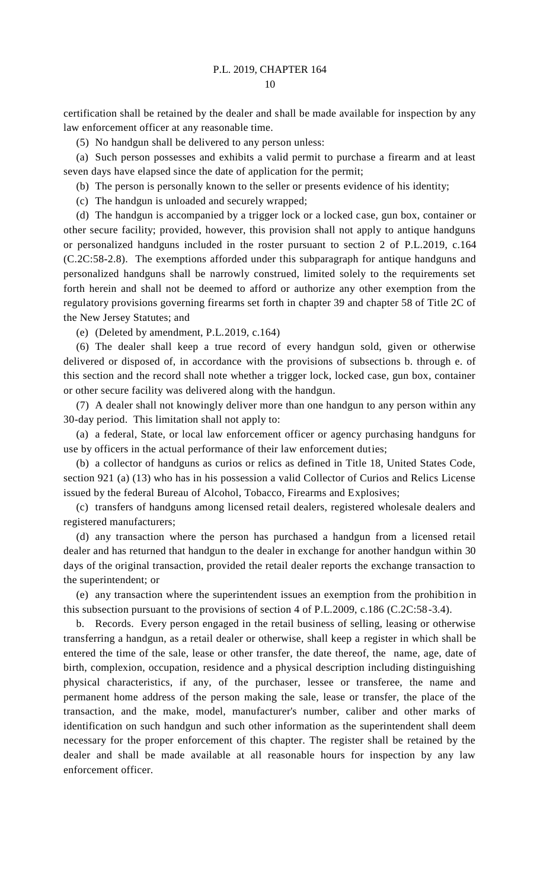certification shall be retained by the dealer and shall be made available for inspection by any law enforcement officer at any reasonable time.

(5) No handgun shall be delivered to any person unless:

(a) Such person possesses and exhibits a valid permit to purchase a firearm and at least seven days have elapsed since the date of application for the permit;

(b) The person is personally known to the seller or presents evidence of his identity;

(c) The handgun is unloaded and securely wrapped;

(d) The handgun is accompanied by a trigger lock or a locked case, gun box, container or other secure facility; provided, however, this provision shall not apply to antique handguns or personalized handguns included in the roster pursuant to section 2 of P.L.2019, c.164 (C.2C:58-2.8). The exemptions afforded under this subparagraph for antique handguns and personalized handguns shall be narrowly construed, limited solely to the requirements set forth herein and shall not be deemed to afford or authorize any other exemption from the regulatory provisions governing firearms set forth in chapter 39 and chapter 58 of Title 2C of the New Jersey Statutes; and

(e) (Deleted by amendment, P.L.2019, c.164)

(6) The dealer shall keep a true record of every handgun sold, given or otherwise delivered or disposed of, in accordance with the provisions of subsections b. through e. of this section and the record shall note whether a trigger lock, locked case, gun box, container or other secure facility was delivered along with the handgun.

(7) A dealer shall not knowingly deliver more than one handgun to any person within any 30-day period. This limitation shall not apply to:

(a) a federal, State, or local law enforcement officer or agency purchasing handguns for use by officers in the actual performance of their law enforcement duties;

(b) a collector of handguns as curios or relics as defined in Title 18, United States Code, section 921 (a) (13) who has in his possession a valid Collector of Curios and Relics License issued by the federal Bureau of Alcohol, Tobacco, Firearms and Explosives;

(c) transfers of handguns among licensed retail dealers, registered wholesale dealers and registered manufacturers;

(d) any transaction where the person has purchased a handgun from a licensed retail dealer and has returned that handgun to the dealer in exchange for another handgun within 30 days of the original transaction, provided the retail dealer reports the exchange transaction to the superintendent; or

(e) any transaction where the superintendent issues an exemption from the prohibition in this subsection pursuant to the provisions of section 4 of P.L.2009, c.186 (C.2C:58-3.4).

b. Records. Every person engaged in the retail business of selling, leasing or otherwise transferring a handgun, as a retail dealer or otherwise, shall keep a register in which shall be entered the time of the sale, lease or other transfer, the date thereof, the name, age, date of birth, complexion, occupation, residence and a physical description including distinguishing physical characteristics, if any, of the purchaser, lessee or transferee, the name and permanent home address of the person making the sale, lease or transfer, the place of the transaction, and the make, model, manufacturer's number, caliber and other marks of identification on such handgun and such other information as the superintendent shall deem necessary for the proper enforcement of this chapter. The register shall be retained by the dealer and shall be made available at all reasonable hours for inspection by any law enforcement officer.